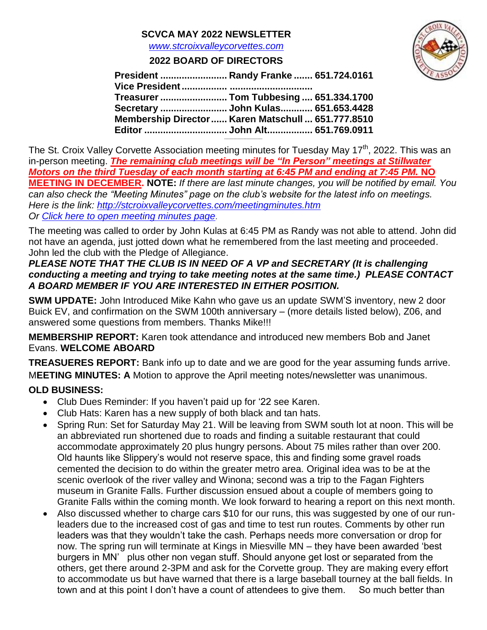## **SCVCA MAY 2022 NEWSLETTER**

*[www.stcroixvalleycorvettes.com](file:///C:/Users/jkulas/Documents/SCVCA/2021/www.stcroixvalleycorvettes.com)*

## **2022 BOARD OF DIRECTORS**



| Treasurer  Tom Tubbesing  651.334.1700             |
|----------------------------------------------------|
|                                                    |
| Membership Director  Karen Matschull  651.777.8510 |
|                                                    |

**\_\_\_\_\_\_\_\_\_\_\_\_\_\_\_\_\_\_\_\_\_\_\_\_**

The St. Croix Valley Corvette Association meeting minutes for Tuesday May 17<sup>th</sup>, 2022. This was an in-person meeting. *The remaining club meetings will be "In Person" meetings at Stillwater Motors on the third Tuesday of each month starting at 6:45 PM and ending at 7:45 PM.* **NO MEETING IN DECEMBER. NOTE:** *If there are last minute changes, you will be notified by email. You can also check the "Meeting Minutes" page on the club's website for the latest info on meetings. Here is the link:<http://stcroixvalleycorvettes.com/meetingminutes.htm> Or [Click here to open meeting minutes page.](http://stcroixvalleycorvettes.com/meetingminutes.htm)*

The meeting was called to order by John Kulas at 6:45 PM as Randy was not able to attend. John did not have an agenda, just jotted down what he remembered from the last meeting and proceeded. John led the club with the Pledge of Allegiance.

#### *PLEASE NOTE THAT THE CLUB IS IN NEED OF A VP and SECRETARY (It is challenging conducting a meeting and trying to take meeting notes at the same time.) PLEASE CONTACT A BOARD MEMBER IF YOU ARE INTERESTED IN EITHER POSITION.*

**SWM UPDATE:** John Introduced Mike Kahn who gave us an update SWM'S inventory, new 2 door Buick EV, and confirmation on the SWM 100th anniversary – (more details listed below), Z06, and answered some questions from members. Thanks Mike!!!

**MEMBERSHIP REPORT:** Karen took attendance and introduced new members Bob and Janet Evans. **WELCOME ABOARD**

**TREASUERES REPORT:** Bank info up to date and we are good for the year assuming funds arrive. M**EETING MINUTES: A** Motion to approve the April meeting notes/newsletter was unanimous.

# **OLD BUSINESS:**

- Club Dues Reminder: If you haven't paid up for '22 see Karen.
- Club Hats: Karen has a new supply of both black and tan hats.
- Spring Run: Set for Saturday May 21. Will be leaving from SWM south lot at noon. This will be an abbreviated run shortened due to roads and finding a suitable restaurant that could accommodate approximately 20 plus hungry persons. About 75 miles rather than over 200. Old haunts like Slippery's would not reserve space, this and finding some gravel roads cemented the decision to do within the greater metro area. Original idea was to be at the scenic overlook of the river valley and Winona; second was a trip to the Fagan Fighters museum in Granite Falls. Further discussion ensued about a couple of members going to Granite Falls within the coming month. We look forward to hearing a report on this next month.
- Also discussed whether to charge cars \$10 for our runs, this was suggested by one of our runleaders due to the increased cost of gas and time to test run routes. Comments by other run leaders was that they wouldn't take the cash. Perhaps needs more conversation or drop for now. The spring run will terminate at Kings in Miesville MN – they have been awarded 'best burgers in MN' plus other non vegan stuff. Should anyone get lost or separated from the others, get there around 2-3PM and ask for the Corvette group. They are making every effort to accommodate us but have warned that there is a large baseball tourney at the ball fields. In town and at this point I don't have a count of attendees to give them. So much better than